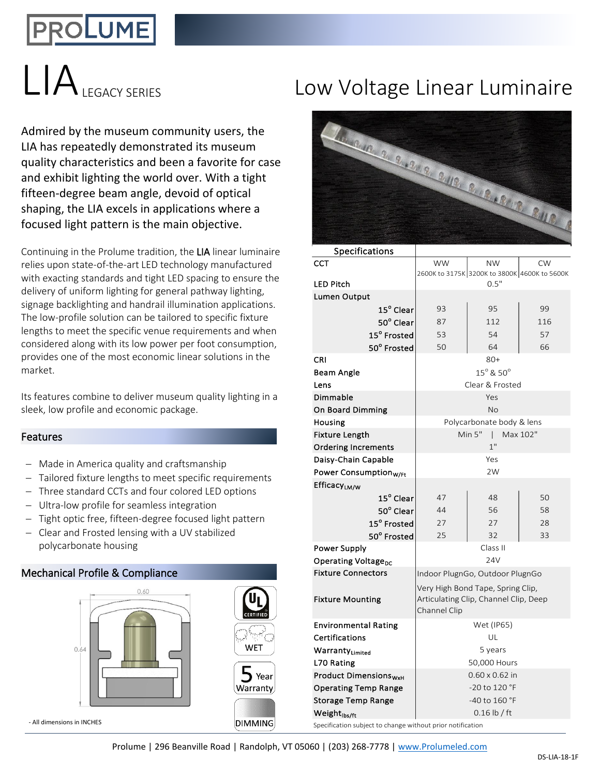# DLUME

Admired by the museum community users, the LIA has repeatedly demonstrated its museum quality characteristics and been a favorite for case and exhibit lighting the world over. With a tight fifteen-degree beam angle, devoid of optical shaping, the LIA excels in applications where a focused light pattern is the main objective.

Continuing in the Prolume tradition, the LIA linear luminaire relies upon state-of-the-art LED technology manufactured with exacting standards and tight LED spacing to ensure the delivery of uniform lighting for general pathway lighting, signage backlighting and handrail illumination applications. The low-profile solution can be tailored to specific fixture lengths to meet the specific venue requirements and when considered along with its low power per foot consumption, provides one of the most economic linear solutions in the market.

Its features combine to deliver museum quality lighting in a sleek, low profile and economic package.

## Features

- − Made in America quality and craftsmanship
- − Tailored fixture lengths to meet specific requirements
- − Three standard CCTs and four colored LED options
- − Ultra-low profile for seamless integration
- − Tight optic free, fifteen-degree focused light pattern
- − Clear and Frosted lensing with a UV stabilized polycarbonate housing

# Mechanical Profile & Compliance



### - All dimensions in INCHES

# LIA<sub>LEGACY SERIES</sub> Low Voltage Linear Luminaire



| <b>Specifications</b>                   |                                       |                                              |           |  |  |  |  |
|-----------------------------------------|---------------------------------------|----------------------------------------------|-----------|--|--|--|--|
| CCT                                     | <b>WW</b>                             | <b>NW</b>                                    | <b>CW</b> |  |  |  |  |
|                                         |                                       | 2600K to 3175K 3200K to 3800K 4600K to 5600K |           |  |  |  |  |
| <b>LED Pitch</b>                        |                                       | 0.5"                                         |           |  |  |  |  |
| Lumen Output                            |                                       |                                              |           |  |  |  |  |
| $15^{\sf o}$ Clear                      | 93                                    | 95                                           | 99        |  |  |  |  |
| 50° Clear                               | 87                                    | 112                                          | 116       |  |  |  |  |
| 15° Frosted                             | 53                                    | 54                                           | 57        |  |  |  |  |
| 50° Frosted                             | 50                                    | 64                                           | 66        |  |  |  |  |
| CRI                                     |                                       | $80+$                                        |           |  |  |  |  |
| Beam Angle                              | $15^{\circ}$ & $50^{\circ}$           |                                              |           |  |  |  |  |
| Lens                                    | Clear & Frosted                       |                                              |           |  |  |  |  |
| Dimmable                                |                                       | Yes                                          |           |  |  |  |  |
| On Board Dimming                        |                                       | No                                           |           |  |  |  |  |
| Housing                                 |                                       | Polycarbonate body & lens                    |           |  |  |  |  |
| Fixture Length                          |                                       | Min 5"<br>$\mid$ Max 102"                    |           |  |  |  |  |
| <b>Ordering Increments</b>              |                                       | 1"                                           |           |  |  |  |  |
| Daisy-Chain Capable                     |                                       | Yes                                          |           |  |  |  |  |
| Power Consumption <sub>W/Ft</sub>       | 2W                                    |                                              |           |  |  |  |  |
| Efficacy <sub>LM/W</sub>                |                                       |                                              |           |  |  |  |  |
| $15^{\sf o}$ Clear                      | 47                                    | 48                                           | 50        |  |  |  |  |
| 50° Clear                               | 44                                    | 56                                           | 58        |  |  |  |  |
| 15° Frosted                             | 27                                    | 27                                           | 28        |  |  |  |  |
| 50° Frosted                             | 25                                    | 32                                           | 33        |  |  |  |  |
| Power Supply                            |                                       | Class II                                     |           |  |  |  |  |
| Operating Voltage <sub>DC</sub>         | 24V                                   |                                              |           |  |  |  |  |
| <b>Fixture Connectors</b>               |                                       | Indoor PlugnGo, Outdoor PlugnGo              |           |  |  |  |  |
|                                         |                                       | Very High Bond Tape, Spring Clip,            |           |  |  |  |  |
| <b>Fixture Mounting</b>                 | Articulating Clip, Channel Clip, Deep |                                              |           |  |  |  |  |
|                                         | Channel Clip                          |                                              |           |  |  |  |  |
| <b>Environmental Rating</b>             |                                       | Wet (IP65)                                   |           |  |  |  |  |
| Certifications                          |                                       | UL                                           |           |  |  |  |  |
| WarrantyLimited                         | 5 years                               |                                              |           |  |  |  |  |
| L70 Rating                              | 50,000 Hours                          |                                              |           |  |  |  |  |
| <b>Product Dimensions<sub>WxH</sub></b> |                                       | $0.60 \times 0.62$ in                        |           |  |  |  |  |
| <b>Operating Temp Range</b>             |                                       | -20 to 120 °F                                |           |  |  |  |  |
| <b>Storage Temp Range</b>               | -40 to 160 °F                         |                                              |           |  |  |  |  |
| Weight <sub>lbs/ft</sub>                |                                       | $0.16$ lb / ft                               |           |  |  |  |  |
|                                         |                                       |                                              |           |  |  |  |  |

Specification subject to change without prior notification